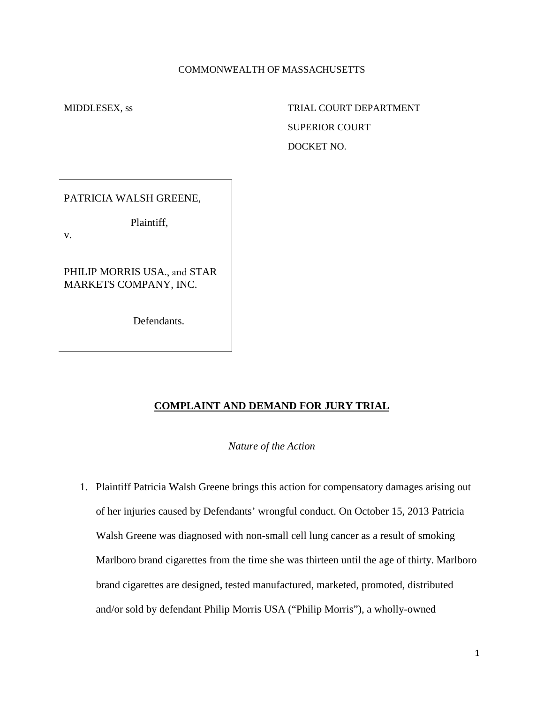#### COMMONWEALTH OF MASSACHUSETTS

MIDDLESEX, ss TRIAL COURT DEPARTMENT SUPERIOR COURT DOCKET NO.

PATRICIA WALSH GREENE,

Plaintiff,

v.

PHILIP MORRIS USA., and STAR MARKETS COMPANY, INC.

Defendants.

# **COMPLAINT AND DEMAND FOR JURY TRIAL**

*Nature of the Action*

1. Plaintiff Patricia Walsh Greene brings this action for compensatory damages arising out of her injuries caused by Defendants' wrongful conduct. On October 15, 2013 Patricia Walsh Greene was diagnosed with non-small cell lung cancer as a result of smoking Marlboro brand cigarettes from the time she was thirteen until the age of thirty. Marlboro brand cigarettes are designed, tested manufactured, marketed, promoted, distributed and/or sold by defendant Philip Morris USA ("Philip Morris"), a wholly-owned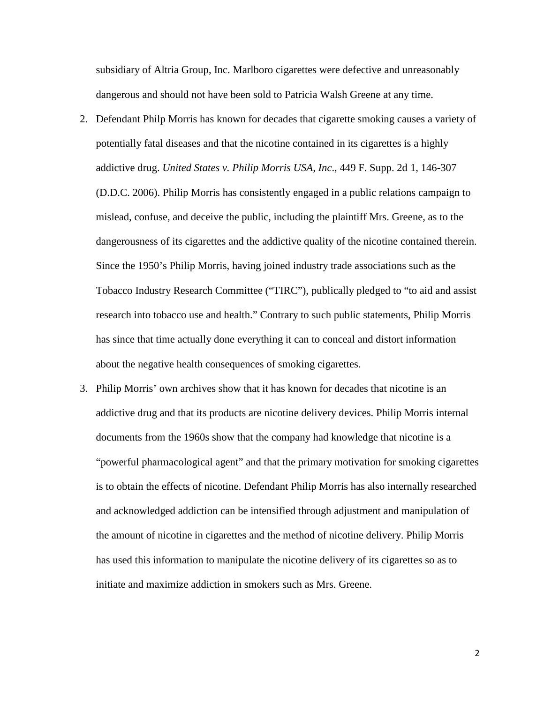subsidiary of Altria Group, Inc. Marlboro cigarettes were defective and unreasonably dangerous and should not have been sold to Patricia Walsh Greene at any time.

- 2. Defendant Philp Morris has known for decades that cigarette smoking causes a variety of potentially fatal diseases and that the nicotine contained in its cigarettes is a highly addictive drug. *United States v. Philip Morris USA, Inc*., 449 F. Supp. 2d 1, 146-307 (D.D.C. 2006). Philip Morris has consistently engaged in a public relations campaign to mislead, confuse, and deceive the public, including the plaintiff Mrs. Greene, as to the dangerousness of its cigarettes and the addictive quality of the nicotine contained therein. Since the 1950's Philip Morris, having joined industry trade associations such as the Tobacco Industry Research Committee ("TIRC"), publically pledged to "to aid and assist research into tobacco use and health." Contrary to such public statements, Philip Morris has since that time actually done everything it can to conceal and distort information about the negative health consequences of smoking cigarettes.
- 3. Philip Morris' own archives show that it has known for decades that nicotine is an addictive drug and that its products are nicotine delivery devices. Philip Morris internal documents from the 1960s show that the company had knowledge that nicotine is a "powerful pharmacological agent" and that the primary motivation for smoking cigarettes is to obtain the effects of nicotine. Defendant Philip Morris has also internally researched and acknowledged addiction can be intensified through adjustment and manipulation of the amount of nicotine in cigarettes and the method of nicotine delivery. Philip Morris has used this information to manipulate the nicotine delivery of its cigarettes so as to initiate and maximize addiction in smokers such as Mrs. Greene.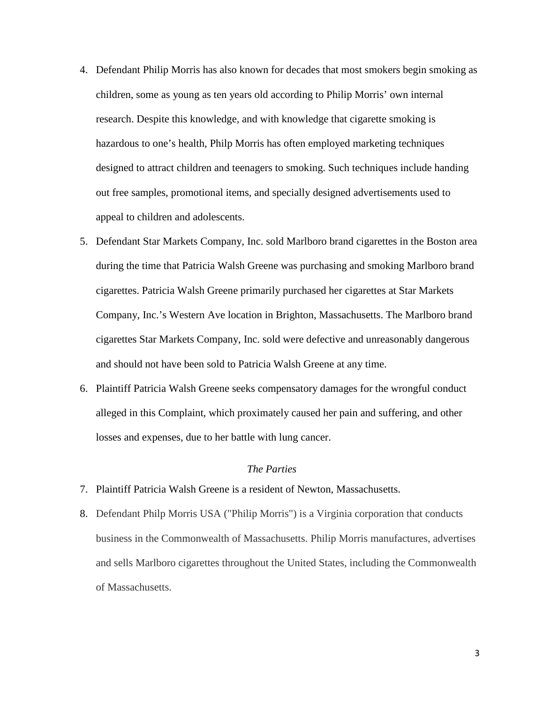- 4. Defendant Philip Morris has also known for decades that most smokers begin smoking as children, some as young as ten years old according to Philip Morris' own internal research. Despite this knowledge, and with knowledge that cigarette smoking is hazardous to one's health, Philp Morris has often employed marketing techniques designed to attract children and teenagers to smoking. Such techniques include handing out free samples, promotional items, and specially designed advertisements used to appeal to children and adolescents.
- 5. Defendant Star Markets Company, Inc. sold Marlboro brand cigarettes in the Boston area during the time that Patricia Walsh Greene was purchasing and smoking Marlboro brand cigarettes. Patricia Walsh Greene primarily purchased her cigarettes at Star Markets Company, Inc.'s Western Ave location in Brighton, Massachusetts. The Marlboro brand cigarettes Star Markets Company, Inc. sold were defective and unreasonably dangerous and should not have been sold to Patricia Walsh Greene at any time.
- 6. Plaintiff Patricia Walsh Greene seeks compensatory damages for the wrongful conduct alleged in this Complaint, which proximately caused her pain and suffering, and other losses and expenses, due to her battle with lung cancer.

#### *The Parties*

- 7. Plaintiff Patricia Walsh Greene is a resident of Newton, Massachusetts.
- 8. Defendant Philp Morris USA ("Philip Morris") is a Virginia corporation that conducts business in the Commonwealth of Massachusetts. Philip Morris manufactures, advertises and sells Marlboro cigarettes throughout the United States, including the Commonwealth of Massachusetts.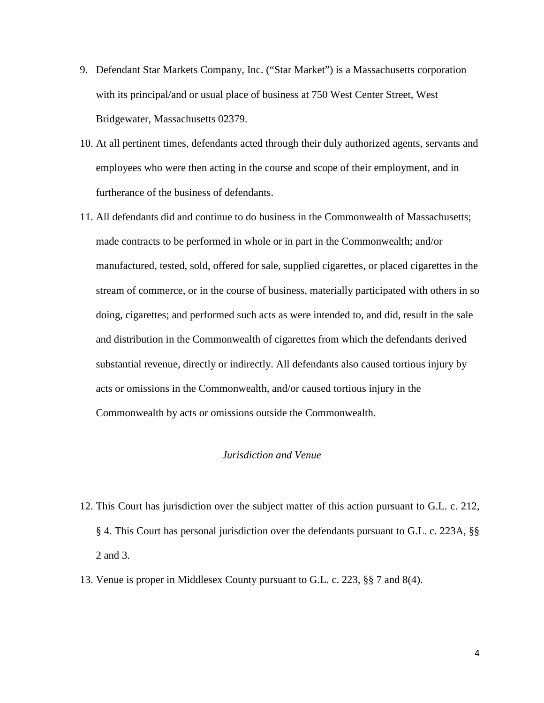- 9. Defendant Star Markets Company, Inc. ("Star Market") is a Massachusetts corporation with its principal/and or usual place of business at 750 West Center Street, West Bridgewater, Massachusetts 02379.
- 10. At all pertinent times, defendants acted through their duly authorized agents, servants and employees who were then acting in the course and scope of their employment, and in furtherance of the business of defendants.
- 11. All defendants did and continue to do business in the Commonwealth of Massachusetts; made contracts to be performed in whole or in part in the Commonwealth; and/or manufactured, tested, sold, offered for sale, supplied cigarettes, or placed cigarettes in the stream of commerce, or in the course of business, materially participated with others in so doing, cigarettes; and performed such acts as were intended to, and did, result in the sale and distribution in the Commonwealth of cigarettes from which the defendants derived substantial revenue, directly or indirectly. All defendants also caused tortious injury by acts or omissions in the Commonwealth, and/or caused tortious injury in the Commonwealth by acts or omissions outside the Commonwealth.

## *Jurisdiction and Venue*

- 12. This Court has jurisdiction over the subject matter of this action pursuant to G.L. c. 212, § 4. This Court has personal jurisdiction over the defendants pursuant to G.L. c. 223A, §§ 2 and [3.](http://www.westlaw.com/Link/Document/FullText?findType=L&pubNum=1000042&cite=MAST223AS3&originatingDoc=Iff1725ee20b811dbbffafa490ee528f6&refType=LQ&originationContext=document&vr=3.0&rs=cblt1.0&transitionType=DocumentItem&contextData=(sc.RelatedInfo))
- 13. Venue is proper in Middlesex County pursuant to G.L. c. 223, §§ 7 and 8(4).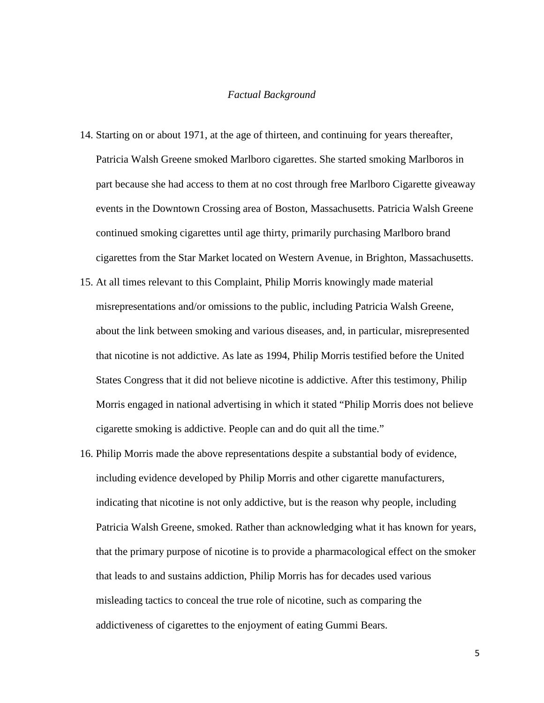#### *Factual Background*

- 14. Starting on or about 1971, at the age of thirteen, and continuing for years thereafter, Patricia Walsh Greene smoked Marlboro cigarettes. She started smoking Marlboros in part because she had access to them at no cost through free Marlboro Cigarette giveaway events in the Downtown Crossing area of Boston, Massachusetts. Patricia Walsh Greene continued smoking cigarettes until age thirty, primarily purchasing Marlboro brand cigarettes from the Star Market located on Western Avenue, in Brighton, Massachusetts.
- 15. At all times relevant to this Complaint, Philip Morris knowingly made material misrepresentations and/or omissions to the public, including Patricia Walsh Greene, about the link between smoking and various diseases, and, in particular, misrepresented that nicotine is not addictive. As late as 1994, Philip Morris testified before the United States Congress that it did not believe nicotine is addictive. After this testimony, Philip Morris engaged in national advertising in which it stated "Philip Morris does not believe cigarette smoking is addictive. People can and do quit all the time."
- 16. Philip Morris made the above representations despite a substantial body of evidence, including evidence developed by Philip Morris and other cigarette manufacturers, indicating that nicotine is not only addictive, but is the reason why people, including Patricia Walsh Greene, smoked. Rather than acknowledging what it has known for years, that the primary purpose of nicotine is to provide a pharmacological effect on the smoker that leads to and sustains addiction, Philip Morris has for decades used various misleading tactics to conceal the true role of nicotine, such as comparing the addictiveness of cigarettes to the enjoyment of eating Gummi Bears.

5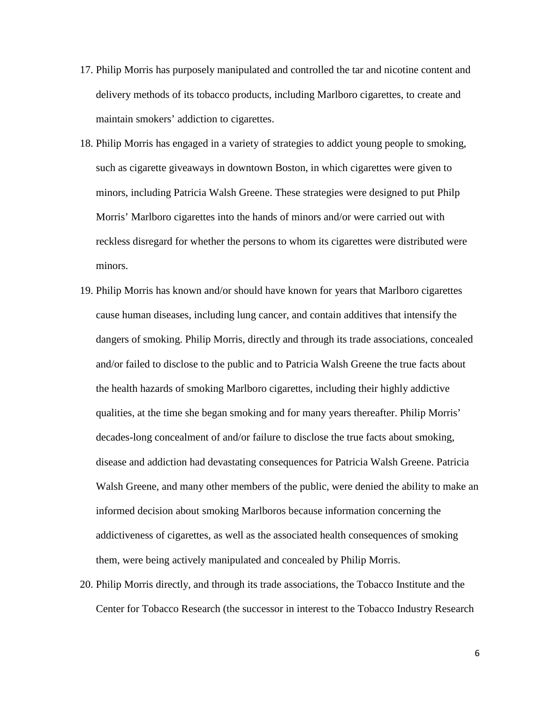- 17. Philip Morris has purposely manipulated and controlled the tar and nicotine content and delivery methods of its tobacco products, including Marlboro cigarettes, to create and maintain smokers' addiction to cigarettes.
- 18. Philip Morris has engaged in a variety of strategies to addict young people to smoking, such as cigarette giveaways in downtown Boston, in which cigarettes were given to minors, including Patricia Walsh Greene. These strategies were designed to put Philp Morris' Marlboro cigarettes into the hands of minors and/or were carried out with reckless disregard for whether the persons to whom its cigarettes were distributed were minors.
- 19. Philip Morris has known and/or should have known for years that Marlboro cigarettes cause human diseases, including lung cancer, and contain additives that intensify the dangers of smoking. Philip Morris, directly and through its trade associations, concealed and/or failed to disclose to the public and to Patricia Walsh Greene the true facts about the health hazards of smoking Marlboro cigarettes, including their highly addictive qualities, at the time she began smoking and for many years thereafter. Philip Morris' decades-long concealment of and/or failure to disclose the true facts about smoking, disease and addiction had devastating consequences for Patricia Walsh Greene. Patricia Walsh Greene, and many other members of the public, were denied the ability to make an informed decision about smoking Marlboros because information concerning the addictiveness of cigarettes, as well as the associated health consequences of smoking them, were being actively manipulated and concealed by Philip Morris.
- 20. Philip Morris directly, and through its trade associations, the Tobacco Institute and the Center for Tobacco Research (the successor in interest to the Tobacco Industry Research

6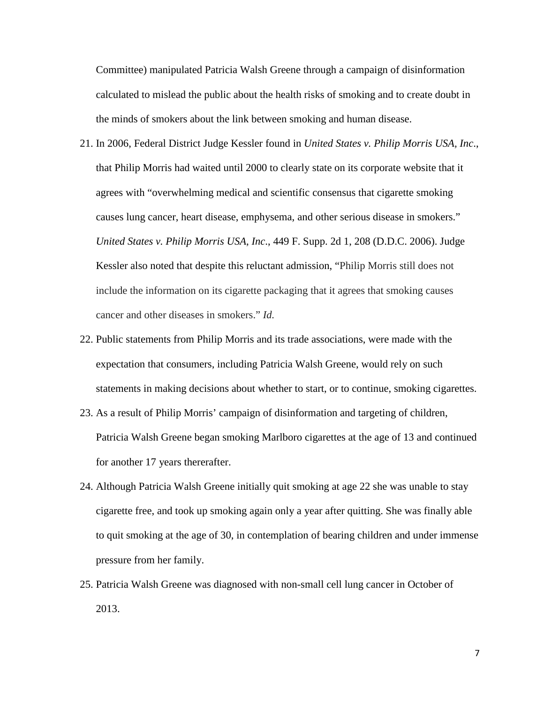Committee) manipulated Patricia Walsh Greene through a campaign of disinformation calculated to mislead the public about the health risks of smoking and to create doubt in the minds of smokers about the link between smoking and human disease.

- 21. In 2006, Federal District Judge Kessler found in *United States v. Philip Morris USA, Inc*., that Philip Morris had waited until 2000 to clearly state on its corporate website that it agrees with "overwhelming medical and scientific consensus that cigarette smoking causes lung cancer, heart disease, emphysema, and other serious disease in smokers." *United States v. Philip Morris USA, Inc*., 449 F. Supp. 2d 1, 208 (D.D.C. 2006). Judge Kessler also noted that despite this reluctant admission, "Philip Morris still does not include the information on its cigarette packaging that it agrees that smoking causes cancer and other diseases in smokers." *Id.*
- 22. Public statements from Philip Morris and its trade associations, were made with the expectation that consumers, including Patricia Walsh Greene, would rely on such statements in making decisions about whether to start, or to continue, smoking cigarettes.
- 23. As a result of Philip Morris' campaign of disinformation and targeting of children, Patricia Walsh Greene began smoking Marlboro cigarettes at the age of 13 and continued for another 17 years thererafter.
- 24. Although Patricia Walsh Greene initially quit smoking at age 22 she was unable to stay cigarette free, and took up smoking again only a year after quitting. She was finally able to quit smoking at the age of 30, in contemplation of bearing children and under immense pressure from her family.
- 25. Patricia Walsh Greene was diagnosed with non-small cell lung cancer in October of 2013.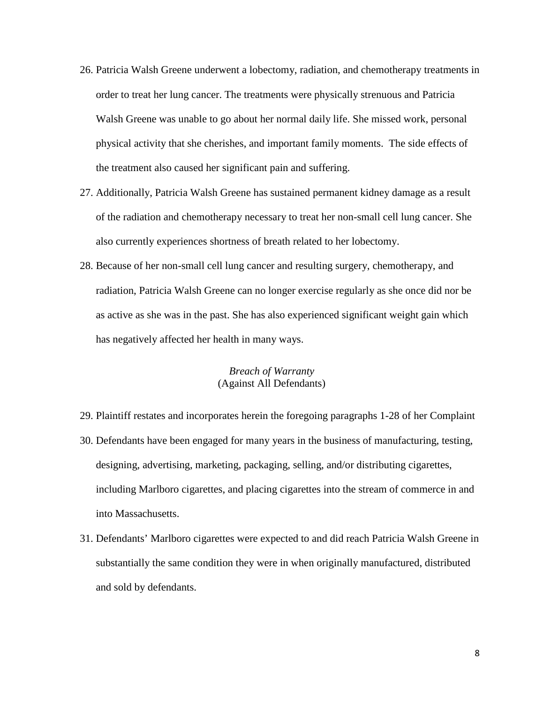- 26. Patricia Walsh Greene underwent a lobectomy, radiation, and chemotherapy treatments in order to treat her lung cancer. The treatments were physically strenuous and Patricia Walsh Greene was unable to go about her normal daily life. She missed work, personal physical activity that she cherishes, and important family moments. The side effects of the treatment also caused her significant pain and suffering.
- 27. Additionally, Patricia Walsh Greene has sustained permanent kidney damage as a result of the radiation and chemotherapy necessary to treat her non-small cell lung cancer. She also currently experiences shortness of breath related to her lobectomy.
- 28. Because of her non-small cell lung cancer and resulting surgery, chemotherapy, and radiation, Patricia Walsh Greene can no longer exercise regularly as she once did nor be as active as she was in the past. She has also experienced significant weight gain which has negatively affected her health in many ways.

## *Breach of Warranty* (Against All Defendants)

- 29. Plaintiff restates and incorporates herein the foregoing paragraphs 1-28 of her Complaint
- 30. Defendants have been engaged for many years in the business of manufacturing, testing, designing, advertising, marketing, packaging, selling, and/or distributing cigarettes, including Marlboro cigarettes, and placing cigarettes into the stream of commerce in and into Massachusetts.
- 31. Defendants' Marlboro cigarettes were expected to and did reach Patricia Walsh Greene in substantially the same condition they were in when originally manufactured, distributed and sold by defendants.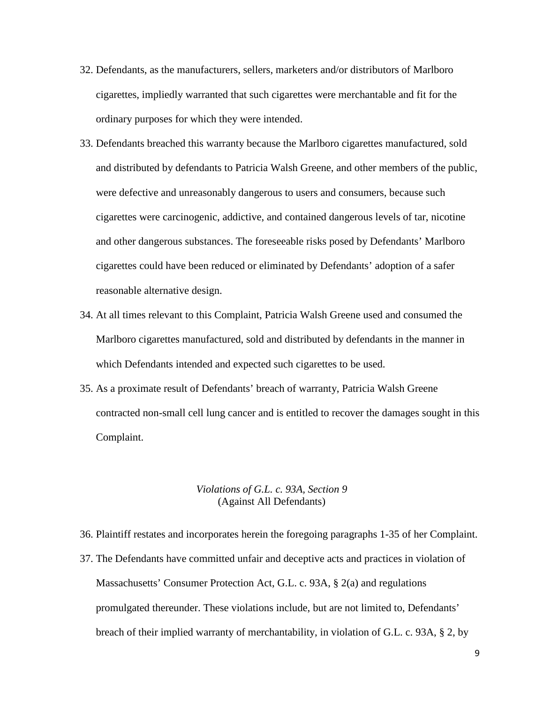- 32. Defendants, as the manufacturers, sellers, marketers and/or distributors of Marlboro cigarettes, impliedly warranted that such cigarettes were merchantable and fit for the ordinary purposes for which they were intended.
- 33. Defendants breached this warranty because the Marlboro cigarettes manufactured, sold and distributed by defendants to Patricia Walsh Greene, and other members of the public, were defective and unreasonably dangerous to users and consumers, because such cigarettes were carcinogenic, addictive, and contained dangerous levels of tar, nicotine and other dangerous substances. The foreseeable risks posed by Defendants' Marlboro cigarettes could have been reduced or eliminated by Defendants' adoption of a safer reasonable alternative design.
- 34. At all times relevant to this Complaint, Patricia Walsh Greene used and consumed the Marlboro cigarettes manufactured, sold and distributed by defendants in the manner in which Defendants intended and expected such cigarettes to be used.
- 35. As a proximate result of Defendants' breach of warranty, Patricia Walsh Greene contracted non-small cell lung cancer and is entitled to recover the damages sought in this Complaint.

### *Violations of G.L. c. 93A, Section 9* (Against All Defendants)

- 36. Plaintiff restates and incorporates herein the foregoing paragraphs 1-35 of her Complaint.
- 37. The Defendants have committed unfair and deceptive acts and practices in violation of Massachusetts' Consumer Protection Act, G.L. c. 93A, § 2(a) and regulations promulgated thereunder. These violations include, but are not limited to, Defendants' breach of their implied warranty of merchantability, in violation of G.L. c. 93A, § 2, by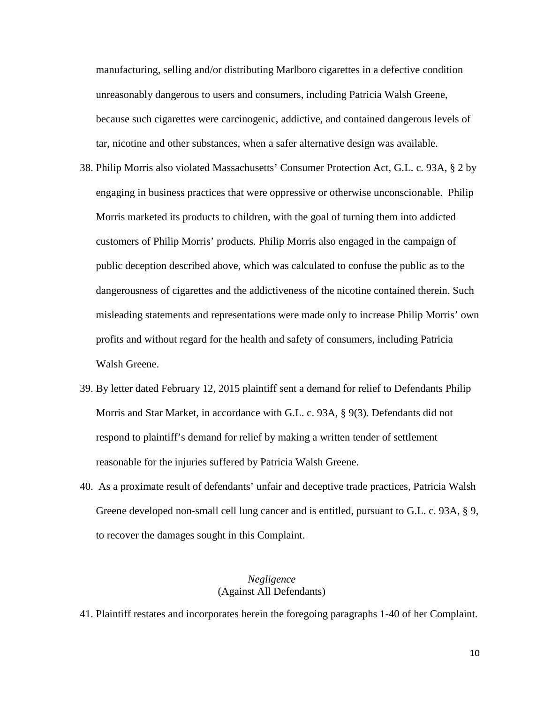manufacturing, selling and/or distributing Marlboro cigarettes in a defective condition unreasonably dangerous to users and consumers, including Patricia Walsh Greene, because such cigarettes were carcinogenic, addictive, and contained dangerous levels of tar, nicotine and other substances, when a safer alternative design was available.

- 38. Philip Morris also violated Massachusetts' Consumer Protection Act, G.L. c. 93A, § 2 by engaging in business practices that were oppressive or otherwise unconscionable. Philip Morris marketed its products to children, with the goal of turning them into addicted customers of Philip Morris' products. Philip Morris also engaged in the campaign of public deception described above, which was calculated to confuse the public as to the dangerousness of cigarettes and the addictiveness of the nicotine contained therein. Such misleading statements and representations were made only to increase Philip Morris' own profits and without regard for the health and safety of consumers, including Patricia Walsh Greene.
- 39. By letter dated February 12, 2015 plaintiff sent a demand for relief to Defendants Philip Morris and Star Market, in accordance with [G.L. c. 93A, § 9\(](http://www.westlaw.com/Link/Document/FullText?findType=L&pubNum=1000042&cite=MAST93AS9&originatingDoc=Iff1725ee20b811dbbffafa490ee528f6&refType=LQ&originationContext=document&vr=3.0&rs=cblt1.0&transitionType=DocumentItem&contextData=(sc.RelatedInfo))3). Defendants did not respond to plaintiff's demand for relief by making a written tender of settlement reasonable for the injuries suffered by Patricia Walsh Greene.
- 40. As a proximate result of defendants' unfair and deceptive trade practices, Patricia Walsh Greene developed non-small cell lung cancer and is entitled, pursuant to [G.L. c. 93A, § 9,](http://www.westlaw.com/Link/Document/FullText?findType=L&pubNum=1000042&cite=MAST93AS9&originatingDoc=Iff1725ee20b811dbbffafa490ee528f6&refType=LQ&originationContext=document&vr=3.0&rs=cblt1.0&transitionType=DocumentItem&contextData=(sc.RelatedInfo)) to recover the damages sought in this Complaint.

#### *Negligence* (Against All Defendants)

41. Plaintiff restates and incorporates herein the foregoing paragraphs 1-40 of her Complaint.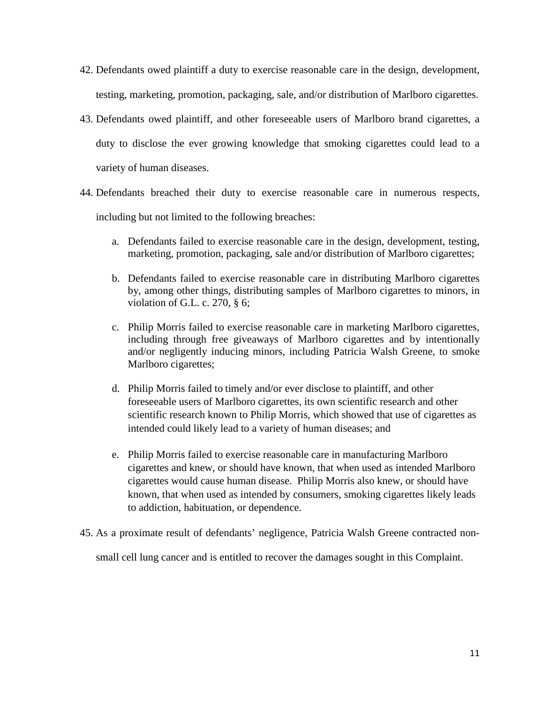- 42. Defendants owed plaintiff a duty to exercise reasonable care in the design, development, testing, marketing, promotion, packaging, sale, and/or distribution of Marlboro cigarettes.
- 43. Defendants owed plaintiff, and other foreseeable users of Marlboro brand cigarettes, a duty to disclose the ever growing knowledge that smoking cigarettes could lead to a variety of human diseases.
- 44. Defendants breached their duty to exercise reasonable care in numerous respects, including but not limited to the following breaches:
	- a. Defendants failed to exercise reasonable care in the design, development, testing, marketing, promotion, packaging, sale and/or distribution of Marlboro cigarettes;
	- b. Defendants failed to exercise reasonable care in distributing Marlboro cigarettes by, among other things, distributing samples of Marlboro cigarettes to minors, in violation of G.L. c. 270, § 6;
	- c. Philip Morris failed to exercise reasonable care in marketing Marlboro cigarettes, including through free giveaways of Marlboro cigarettes and by intentionally and/or negligently inducing minors, including Patricia Walsh Greene, to smoke Marlboro cigarettes;
	- d. Philip Morris failed to timely and/or ever disclose to plaintiff, and other foreseeable users of Marlboro cigarettes, its own scientific research and other scientific research known to Philip Morris, which showed that use of cigarettes as intended could likely lead to a variety of human diseases; and
	- e. Philip Morris failed to exercise reasonable care in manufacturing Marlboro cigarettes and knew, or should have known, that when used as intended Marlboro cigarettes would cause human disease. Philip Morris also knew, or should have known, that when used as intended by consumers, smoking cigarettes likely leads to addiction, habituation, or dependence.
- 45. As a proximate result of defendants' negligence, Patricia Walsh Greene contracted non-

small cell lung cancer and is entitled to recover the damages sought in this Complaint.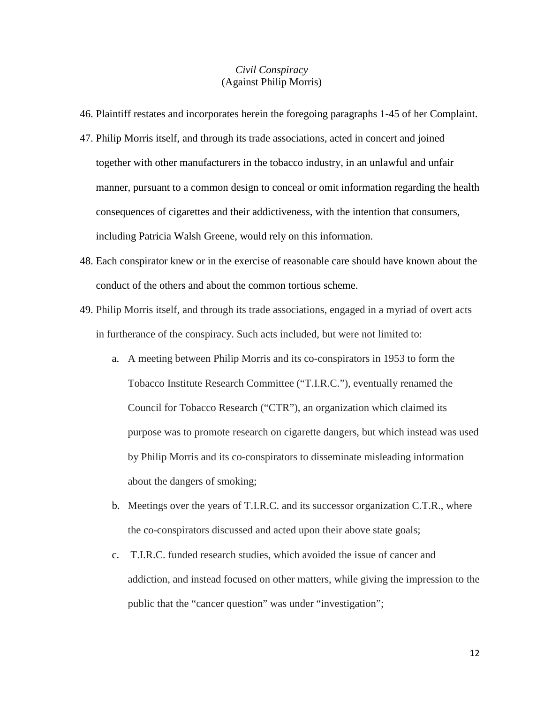## *Civil Conspiracy*  (Against Philip Morris)

- 46. Plaintiff restates and incorporates herein the foregoing paragraphs 1-45 of her Complaint.
- 47. Philip Morris itself, and through its trade associations, acted in concert and joined together with other manufacturers in the tobacco industry, in an unlawful and unfair manner, pursuant to a common design to conceal or omit information regarding the health consequences of cigarettes and their addictiveness, with the intention that consumers, including Patricia Walsh Greene, would rely on this information.
- 48. Each conspirator knew or in the exercise of reasonable care should have known about the conduct of the others and about the common tortious scheme.
- 49. Philip Morris itself, and through its trade associations, engaged in a myriad of overt acts in furtherance of the conspiracy. Such acts included, but were not limited to:
	- a. A meeting between Philip Morris and its co-conspirators in 1953 to form the Tobacco Institute Research Committee ("T.I.R.C."), eventually renamed the Council for Tobacco Research ("CTR"), an organization which claimed its purpose was to promote research on cigarette dangers, but which instead was used by Philip Morris and its co-conspirators to disseminate misleading information about the dangers of smoking;
	- b. Meetings over the years of T.I.R.C. and its successor organization C.T.R., where the co-conspirators discussed and acted upon their above state goals;
	- c. T.I.R.C. funded research studies, which avoided the issue of cancer and addiction, and instead focused on other matters, while giving the impression to the public that the "cancer question" was under "investigation";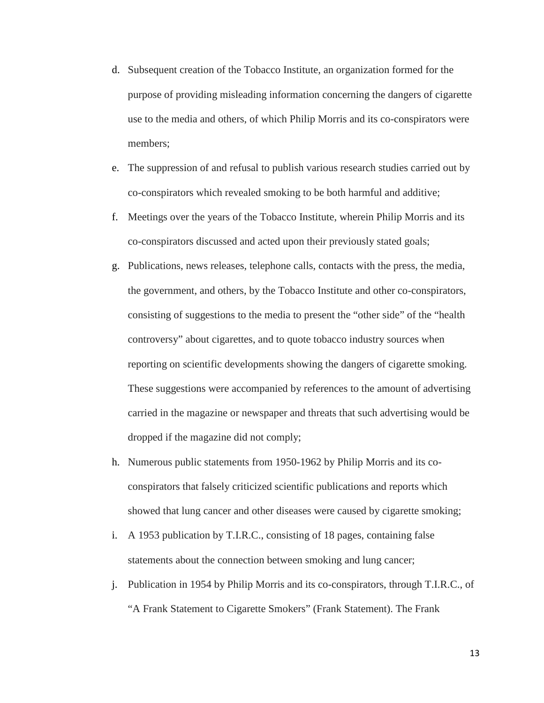- d. Subsequent creation of the Tobacco Institute, an organization formed for the purpose of providing misleading information concerning the dangers of cigarette use to the media and others, of which Philip Morris and its co-conspirators were members;
- e. The suppression of and refusal to publish various research studies carried out by co-conspirators which revealed smoking to be both harmful and additive;
- f. Meetings over the years of the Tobacco Institute, wherein Philip Morris and its co-conspirators discussed and acted upon their previously stated goals;
- g. Publications, news releases, telephone calls, contacts with the press, the media, the government, and others, by the Tobacco Institute and other co-conspirators, consisting of suggestions to the media to present the "other side" of the "health controversy" about cigarettes, and to quote tobacco industry sources when reporting on scientific developments showing the dangers of cigarette smoking. These suggestions were accompanied by references to the amount of advertising carried in the magazine or newspaper and threats that such advertising would be dropped if the magazine did not comply;
- h. Numerous public statements from 1950-1962 by Philip Morris and its coconspirators that falsely criticized scientific publications and reports which showed that lung cancer and other diseases were caused by cigarette smoking;
- i. A 1953 publication by T.I.R.C., consisting of 18 pages, containing false statements about the connection between smoking and lung cancer;
- j. Publication in 1954 by Philip Morris and its co-conspirators, through T.I.R.C., of "A Frank Statement to Cigarette Smokers" (Frank Statement). The Frank

13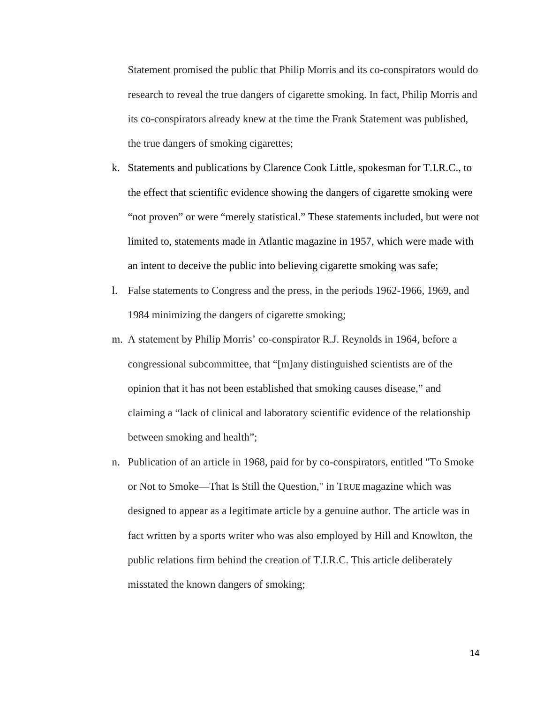Statement promised the public that Philip Morris and its co-conspirators would do research to reveal the true dangers of cigarette smoking. In fact, Philip Morris and its co-conspirators already knew at the time the Frank Statement was published, the true dangers of smoking cigarettes;

- k. Statements and publications by Clarence Cook Little, spokesman for T.I.R.C., to the effect that scientific evidence showing the dangers of cigarette smoking were "not proven" or were "merely statistical." These statements included, but were not limited to, statements made in Atlantic magazine in 1957, which were made with an intent to deceive the public into believing cigarette smoking was safe;
- l. False statements to Congress and the press, in the periods 1962-1966, 1969, and 1984 minimizing the dangers of cigarette smoking;
- m. A statement by Philip Morris' co-conspirator R.J. Reynolds in 1964, before a congressional subcommittee, that "[m]any distinguished scientists are of the opinion that it has not been established that smoking causes disease," and claiming a "lack of clinical and laboratory scientific evidence of the relationship between smoking and health";
- n. Publication of an article in 1968, paid for by co-conspirators, entitled "To Smoke or Not to Smoke—That Is Still the Question," in TRUE magazine which was designed to appear as a legitimate article by a genuine author. The article was in fact written by a sports writer who was also employed by Hill and Knowlton, the public relations firm behind the creation of T.I.R.C. This article deliberately misstated the known dangers of smoking;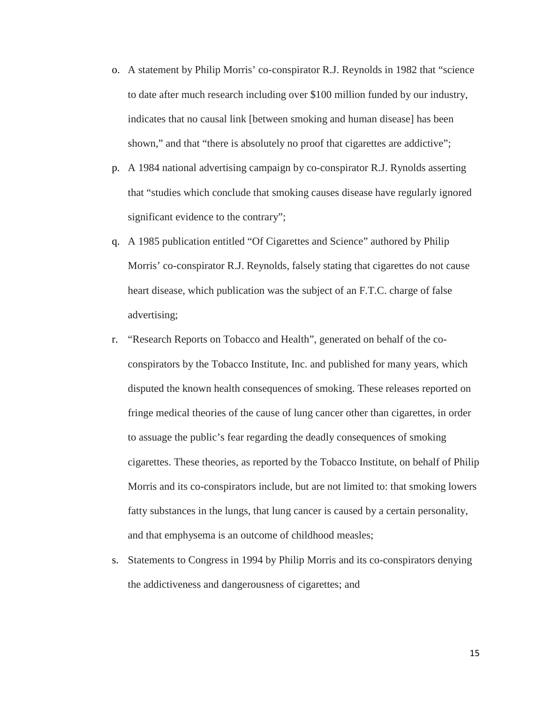- o. A statement by Philip Morris' co-conspirator R.J. Reynolds in 1982 that "science to date after much research including over \$100 million funded by our industry, indicates that no causal link [between smoking and human disease] has been shown," and that "there is absolutely no proof that cigarettes are addictive";
- p. A 1984 national advertising campaign by co-conspirator R.J. Rynolds asserting that "studies which conclude that smoking causes disease have regularly ignored significant evidence to the contrary";
- q. A 1985 publication entitled "Of Cigarettes and Science" authored by Philip Morris' co-conspirator R.J. Reynolds, falsely stating that cigarettes do not cause heart disease, which publication was the subject of an F.T.C. charge of false advertising;
- r. "Research Reports on Tobacco and Health", generated on behalf of the coconspirators by the Tobacco Institute, Inc. and published for many years, which disputed the known health consequences of smoking. These releases reported on fringe medical theories of the cause of lung cancer other than cigarettes, in order to assuage the public's fear regarding the deadly consequences of smoking cigarettes. These theories, as reported by the Tobacco Institute, on behalf of Philip Morris and its co-conspirators include, but are not limited to: that smoking lowers fatty substances in the lungs, that lung cancer is caused by a certain personality, and that emphysema is an outcome of childhood measles;
- s. Statements to Congress in 1994 by Philip Morris and its co-conspirators denying the addictiveness and dangerousness of cigarettes; and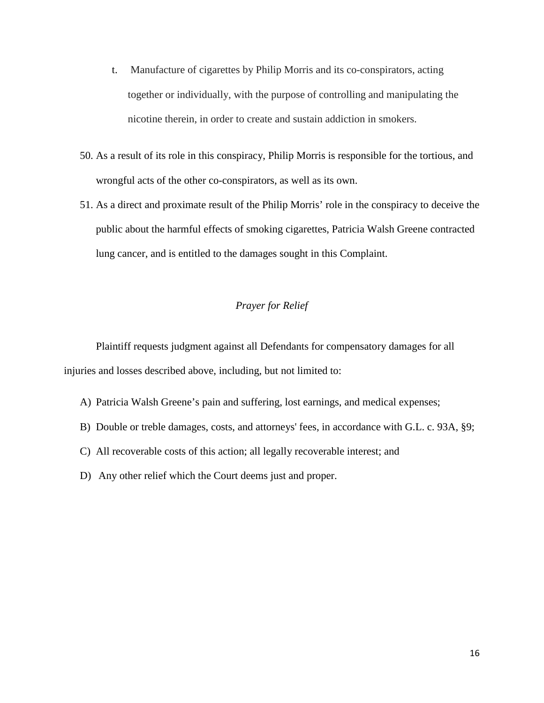- t. Manufacture of cigarettes by Philip Morris and its co-conspirators, acting together or individually, with the purpose of controlling and manipulating the nicotine therein, in order to create and sustain addiction in smokers.
- 50. As a result of its role in this conspiracy, Philip Morris is responsible for the tortious, and wrongful acts of the other co-conspirators, as well as its own.
- 51. As a direct and proximate result of the Philip Morris' role in the conspiracy to deceive the public about the harmful effects of smoking cigarettes, Patricia Walsh Greene contracted lung cancer, and is entitled to the damages sought in this Complaint.

## *Prayer for Relief*

Plaintiff requests judgment against all Defendants for compensatory damages for all injuries and losses described above, including, but not limited to:

- A) Patricia Walsh Greene's pain and suffering, lost earnings, and medical expenses;
- B) Double or treble damages, costs, and attorneys' fees, in accordance with G.L. c. 93A, §9;
- C) All recoverable costs of this action; all legally recoverable interest; and
- D) Any other relief which the Court deems just and proper.